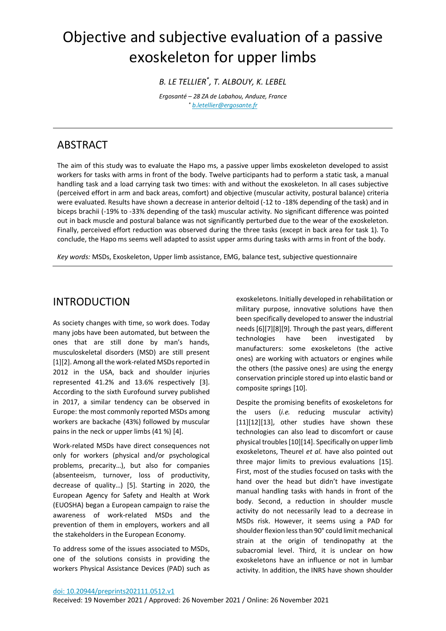# Objective and subjective evaluation of a passive exoskeleton for upper limbs

*B. LE TELLIER\* , T. ALBOUY, K. LEBEL* 

*Ergosanté – 28 ZA de Labahou, Anduze, France \* [b.letellier@ergosante.fr](mailto:b.letellier@ergosante.fr)*

# ABSTRACT

The aim of this study was to evaluate the Hapo ms, a passive upper limbs exoskeleton developed to assist workers for tasks with arms in front of the body. Twelve participants had to perform a static task, a manual handling task and a load carrying task two times: with and without the exoskeleton. In all cases subjective (perceived effort in arm and back areas, comfort) and objective (muscular activity, postural balance) criteria were evaluated. Results have shown a decrease in anterior deltoid (-12 to -18% depending of the task) and in biceps brachii (-19% to -33% depending of the task) muscular activity. No significant difference was pointed out in back muscle and postural balance was not significantly perturbed due to the wear of the exoskeleton. Finally, perceived effort reduction was observed during the three tasks (except in back area for task 1). To conclude, the Hapo ms seems well adapted to assist upper arms during tasks with arms in front of the body.

*Key words:* MSDs, Exoskeleton, Upper limb assistance, EMG, balance test, subjective questionnaire

# INTRODUCTION

As society changes with time, so work does. Today many jobs have been automated, but between the ones that are still done by man's hands, musculoskeletal disorders (MSD) are still present [\[1\]](#page-7-0)[\[2\].](#page-7-1) Among all the work-related MSDs reported in 2012 in the USA, back and shoulder injuries represented 41.2% and 13.6% respectively [\[3\].](#page-7-2)  According to the sixth Eurofound survey published in 2017, a similar tendency can be observed in Europe: the most commonly reported MSDs among workers are backache (43%) followed by muscular pains in the neck or upper limbs (41 %) [\[4\].](#page-7-3)

Work-related MSDs have direct consequences not only for workers (physical and/or psychological problems, precarity…), but also for companies (absenteeism, turnover, loss of productivity, decrease of quality…) [\[5\].](#page-7-4) Starting in 2020, the European Agency for Safety and Health at Work (EUOSHA) began a European campaign to raise the awareness of work-related MSDs and the prevention of them in employers, workers and all the stakeholders in the European Economy.

To address some of the issues associated to MSDs, one of the solutions consists in providing the workers Physical Assistance Devices (PAD) such as exoskeletons. Initially developed in rehabilitation or military purpose, innovative solutions have then been specifically developed to answer the industrial need[s \[6\]](#page-7-5)[\[7\]](#page-7-6)[\[8\]](#page-7-7)[\[9\].](#page-7-8) Through the past years, different technologies have been investigated by manufacturers: some exoskeletons (the active ones) are working with actuators or engines while the others (the passive ones) are using the energy conservation principle stored up into elastic band or composite spring[s \[10\].](#page-7-9)

Despite the promising benefits of exoskeletons for the users (*i.e.* reducing muscular activity) [\[11\]](#page-7-10)[\[12\]](#page-7-11)[\[13\],](#page-7-12) other studies have shown these technologies can also lead to discomfort or cause physical trouble[s \[10\]](#page-7-9)[\[14\].](#page-7-13) Specifically on upper limb exoskeletons, Theurel *et al.* have also pointed out three major limits to previous evaluations [\[15\].](#page-7-14) First, most of the studies focused on tasks with the hand over the head but didn't have investigate manual handling tasks with hands in front of the body. Second, a reduction in shoulder muscle activity do not necessarily lead to a decrease in MSDs risk. However, it seems using a PAD for shoulder flexion less than 90° could limit mechanical strain at the origin of tendinopathy at the subacromial level. Third, it is unclear on how exoskeletons have an influence or not in lumbar activity. In addition, the INRS have shown shoulder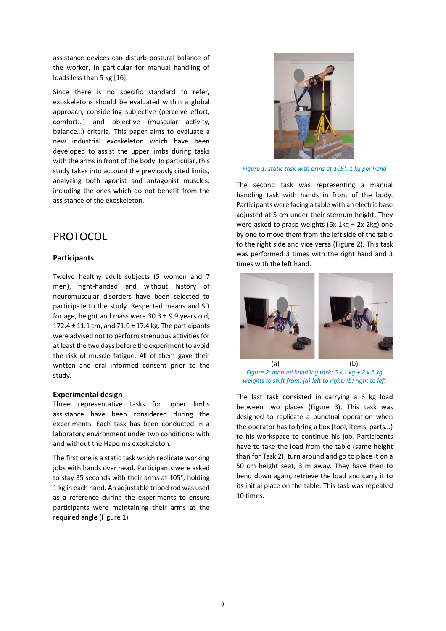assistance devices can disturb postural balance of the worker, in particular for manual handling of loads less than 5 k[g \[16\].](#page-7-15)

Since there is no specific standard to refer, exoskeletons should be evaluated within a global approach, considering subjective (perceive effort, comfort…) and objective (muscular activity, balance…) criteria. This paper aims to evaluate a new industrial exoskeleton which have been developed to assist the upper limbs during tasks with the arms in front of the body. In particular, this study takes into account the previously cited limits, analyzing both agonist and antagonist muscles, including the ones which do not benefit from the assistance of the exoskeleton.

# PROTOCOL

### **Participants**

Twelve healthy adult subjects (5 women and 7 men), right-handed and without history of neuromuscular disorders have been selected to participate to the study. Respected means and SD for age, height and mass were  $30.3 \pm 9.9$  years old, 172.4 ± 11.1 cm, and 71.0 ± 17.4 kg. The participants were advised not to perform strenuous activities for at least the two days before the experiment to avoid the risk of muscle fatigue. All of them gave their written and oral informed consent prior to the study.

### **Experimental design**

Three representative tasks for upper limbs assistance have been considered during the experiments. Each task has been conducted in a laboratory environment under two conditions: with and without the Hapo ms exoskeleton.

The first one is a static task which replicate working jobs with hands over head. Participants were asked to stay 35 seconds with their arms at 105°, holding 1 kg in each hand. An adjustable tripod rod was used as a reference during the experiments to ensure participants were maintaining their arms at the required angle [\(Figure 1\)](#page-1-0).



*Figure 1: static task with arms at 105°, 1 kg per hand* 

<span id="page-1-0"></span>The second task was representing a manual handling task with hands in front of the body. Participants were facing a table with an electric base adjusted at 5 cm under their sternum height. They were asked to grasp weights (6x 1kg + 2x 2kg) one by one to move them from the left side of the table to the right side and vice versa [\(Figure 2\)](#page-1-1). This task was performed 3 times with the right hand and 3 times with the left hand.



*Figure 2: manual handling task: 6 x 1 kg + 2 x 2 kg weights to shift from: (a) left to right; (b) right to left* 

<span id="page-1-1"></span>The last task consisted in carrying a 6 kg load between two places [\(Figure 3\)](#page-2-0). This task was designed to replicate a punctual operation when the operator has to bring a box (tool, items, parts...) to his workspace to continue his job. Participants have to take the load from the table (same height than for Task 2), turn around and go to place it on a 50 cm height seat, 3 m away. They have then to bend down again, retrieve the load and carry it to its initial place on the table. This task was repeated 10 times.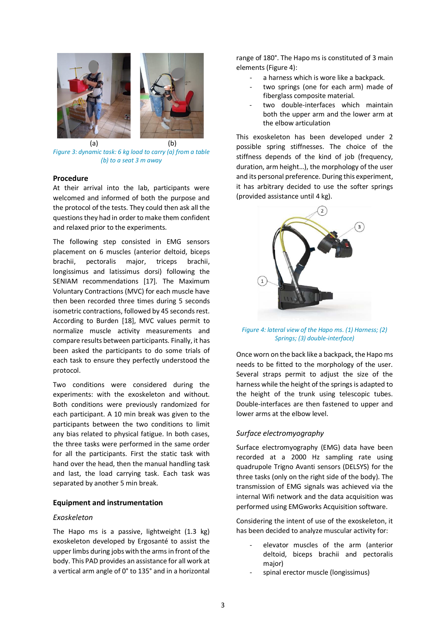

(a) (b) *Figure 3: dynamic task: 6 kg load to carry (a) from a table (b) to a seat 3 m away* 

### <span id="page-2-0"></span>**Procedure**

At their arrival into the lab, participants were welcomed and informed of both the purpose and the protocol of the tests. They could then ask all the questions they had in order to make them confident and relaxed prior to the experiments.

The following step consisted in EMG sensors placement on 6 muscles (anterior deltoid, biceps brachii, pectoralis major, triceps brachii, longissimus and latissimus dorsi) following the SENIAM recommendations [\[17\].](#page-7-16) The Maximum Voluntary Contractions (MVC) for each muscle have then been recorded three times during 5 seconds isometric contractions, followed by 45 seconds rest. According to Burden [\[18\],](#page-8-0) MVC values permit to normalize muscle activity measurements and compare results between participants. Finally, it has been asked the participants to do some trials of each task to ensure they perfectly understood the protocol.

Two conditions were considered during the experiments: with the exoskeleton and without. Both conditions were previously randomized for each participant. A 10 min break was given to the participants between the two conditions to limit any bias related to physical fatigue. In both cases, the three tasks were performed in the same order for all the participants. First the static task with hand over the head, then the manual handling task and last, the load carrying task. Each task was separated by another 5 min break.

### **Equipment and instrumentation**

### *Exoskeleton*

The Hapo ms is a passive, lightweight (1.3 kg) exoskeleton developed by Ergosanté to assist the upper limbs during jobs with the arms in front of the body. This PAD provides an assistance for all work at a vertical arm angle of 0° to 135° and in a horizontal range of 180°. The Hapo ms is constituted of 3 main elements [\(Figure 4\)](#page-2-1):

- a harness which is wore like a backpack.
- two springs (one for each arm) made of fiberglass composite material.
- two double-interfaces which maintain both the upper arm and the lower arm at the elbow articulation

This exoskeleton has been developed under 2 possible spring stiffnesses. The choice of the stiffness depends of the kind of job (frequency, duration, arm height…), the morphology of the user and its personal preference. During this experiment, it has arbitrary decided to use the softer springs (provided assistance until 4 kg).



*Figure 4: lateral view of the Hapo ms. (1) Harness; (2) Springs; (3) double-interface)* 

<span id="page-2-1"></span>Once worn on the back like a backpack, the Hapo ms needs to be fitted to the morphology of the user. Several straps permit to adjust the size of the harness while the height of the springs is adapted to the height of the trunk using telescopic tubes. Double-interfaces are then fastened to upper and lower arms at the elbow level.

### *Surface electromyography*

Surface electromyography (EMG) data have been recorded at a 2000 Hz sampling rate using quadrupole Trigno Avanti sensors (DELSYS) for the three tasks (only on the right side of the body). The transmission of EMG signals was achieved via the internal Wifi network and the data acquisition was performed using EMGworks Acquisition software.

Considering the intent of use of the exoskeleton, it has been decided to analyze muscular activity for:

- elevator muscles of the arm (anterior deltoid, biceps brachii and pectoralis major)
- spinal erector muscle (longissimus)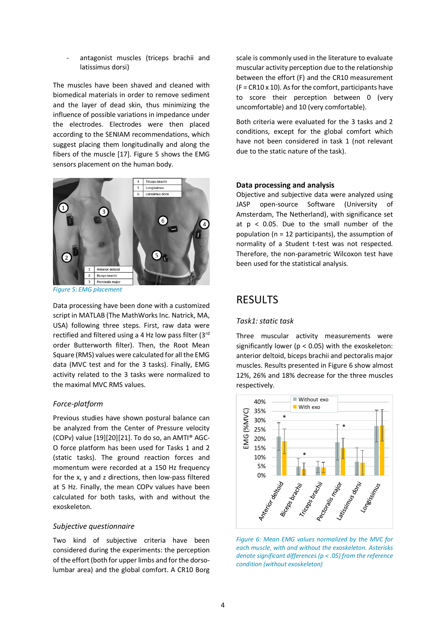antagonist muscles (triceps brachii and latissimus dorsi)

The muscles have been shaved and cleaned with biomedical materials in order to remove sediment and the layer of dead skin, thus minimizing the influence of possible variations in impedance under the electrodes. Electrodes were then placed according to the SENIAM recommendations, which suggest placing them longitudinally and along the fibers of the muscle [\[17\].](#page-7-16) [Figure 5](#page-3-0) shows the EMG sensors placement on the human body.



<span id="page-3-0"></span>*Figure 5: EMG placement* 

Data processing have been done with a customized script in MATLAB (The MathWorks Inc. Natrick, MA, USA) following three steps. First, raw data were rectified and filtered using a 4 Hz low pass filter (3rd order Butterworth filter). Then, the Root Mean Square (RMS) values were calculated for all the EMG data (MVC test and for the 3 tasks). Finally, EMG activity related to the 3 tasks were normalized to the maximal MVC RMS values.

### *Force-platform*

Previous studies have shown postural balance can be analyzed from the Center of Pressure velocity (COPv) value [\[19\]](#page-8-1)[\[20\]](#page-8-2)[\[21\].](#page-8-3) To do so, an AMTI® AGC-O force platform has been used for Tasks 1 and 2 (static tasks). The ground reaction forces and momentum were recorded at a 150 Hz frequency for the x, y and z directions, then low-pass filtered at 5 Hz. Finally, the mean COPv values have been calculated for both tasks, with and without the exoskeleton.

### *Subjective questionnaire*

Two kind of subjective criteria have been considered during the experiments: the perception of the effort (both for upper limbs and for the dorsolumbar area) and the global comfort. A CR10 Borg

scale is commonly used in the literature to evaluate muscular activity perception due to the relationship between the effort (F) and the CR10 measurement  $(F = CR10 \times 10)$ . As for the comfort, participants have to score their perception between 0 (very uncomfortable) and 10 (very comfortable).

Both criteria were evaluated for the 3 tasks and 2 conditions, except for the global comfort which have not been considered in task 1 (not relevant due to the static nature of the task).

### **Data processing and analysis**

Objective and subjective data were analyzed using JASP open-source Software (University of Amsterdam, The Netherland), with significance set at  $p < 0.05$ . Due to the small number of the population (n = 12 participants), the assumption of normality of a Student t-test was not respected. Therefore, the non-parametric Wilcoxon test have been used for the statistical analysis.

### **RESULTS**

### *Task1: static task*

Three muscular activity measurements were significantly lower (p < 0.05) with the exoskeleton: anterior deltoid, biceps brachii and pectoralis major muscles. Results presented in [Figure 6](#page-3-1) show almost 12%, 26% and 18% decrease for the three muscles respectively.



<span id="page-3-1"></span>*Figure 6: Mean EMG values normalized by the MVC for each muscle, with and without the exoskeleton. Asterisks denote significant differences (p < .05) from the reference condition (without exoskeleton)*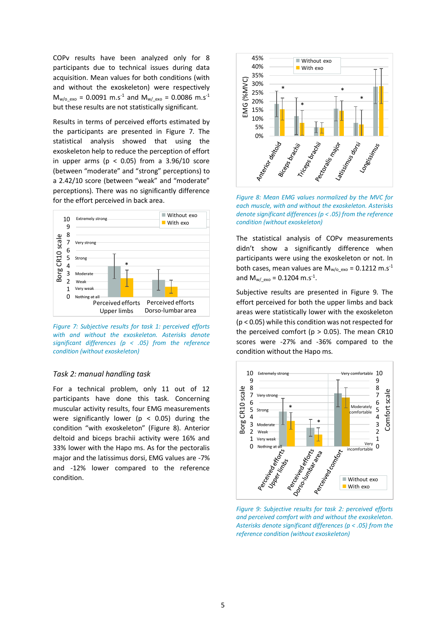COPv results have been analyzed only for 8 participants due to technical issues during data acquisition. Mean values for both conditions (with and without the exoskeleton) were respectively  $M_{w/o\;exo} = 0.0091 \; m.s^{-1}$  and  $M_{w/c}$ <sub>exo</sub> = 0.0086 m.s<sup>-1</sup> but these results are not statistically significant.

Results in terms of perceived efforts estimated by the participants are presented in [Figure 7.](#page-4-0) The statistical analysis showed that using the exoskeleton help to reduce the perception of effort in upper arms ( $p < 0.05$ ) from a 3.96/10 score (between "moderate" and "strong" perceptions) to a 2.42/10 score (between "weak" and "moderate" perceptions). There was no significantly difference for the effort perceived in back area.



<span id="page-4-0"></span>*Figure 7: Subjective results for task 1: perceived efforts with and without the exoskeleton. Asterisks denote significant differences (p < .05) from the reference condition (without exoskeleton)* 

### *Task 2: manual handling task*

For a technical problem, only 11 out of 12 participants have done this task. Concerning muscular activity results, four EMG measurements were significantly lower ( $p < 0.05$ ) during the condition "with exoskeleton" ([Figure 8\)](#page-4-1). Anterior deltoid and biceps brachii activity were 16% and 33% lower with the Hapo ms. As for the pectoralis major and the latissimus dorsi, EMG values are -7% and -12% lower compared to the reference condition.



<span id="page-4-1"></span>*Figure 8: Mean EMG values normalized by the MVC for each muscle, with and without the exoskeleton. Asterisks denote significant differences (p < .05) from the reference condition (without exoskeleton)* 

The statistical analysis of COPv measurements didn't show a significantly difference when participants were using the exoskeleton or not. In both cases, mean values are  $M_{w/o\;exo} = 0.1212$  m.s<sup>-1</sup> and  $M_{w/\text{exo}} = 0.1204 \text{ m.s}^{-1}$ .

Subjective results are presented in [Figure 9.](#page-4-2) The effort perceived for both the upper limbs and back areas were statistically lower with the exoskeleton (p < 0.05) while this condition was not respected for the perceived comfort ( $p > 0.05$ ). The mean CR10 scores were -27% and -36% compared to the condition without the Hapo ms.



<span id="page-4-2"></span>*Figure 9: Subjective results for task 2: perceived efforts and perceived comfort with and without the exoskeleton. Asterisks denote significant differences (p < .05) from the reference condition (without exoskeleton)*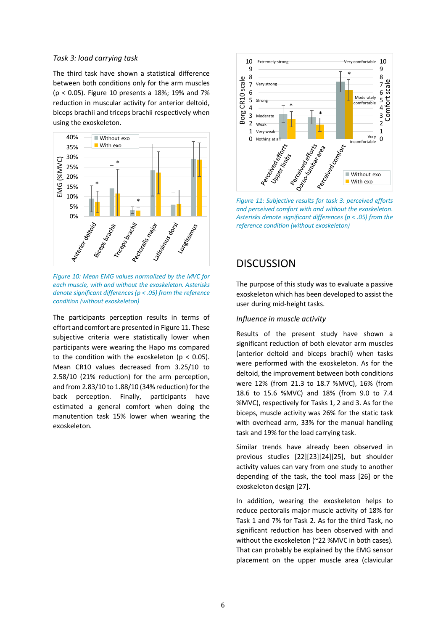### *Task 3: load carrying task*

The third task have shown a statistical difference between both conditions only for the arm muscles (p < 0.05). [Figure 10](#page-5-0) presents a 18%; 19% and 7% reduction in muscular activity for anterior deltoid, biceps brachii and triceps brachii respectively when using the exoskeleton.



<span id="page-5-0"></span>*Figure 10: Mean EMG values normalized by the MVC for each muscle, with and without the exoskeleton. Asterisks denote significant differences (p < .05) from the reference condition (without exoskeleton)* 

The participants perception results in terms of effort and comfort are presented i[n Figure 11.](#page-5-1) These subjective criteria were statistically lower when participants were wearing the Hapo ms compared to the condition with the exoskeleton ( $p < 0.05$ ). Mean CR10 values decreased from 3.25/10 to 2.58/10 (21% reduction) for the arm perception, and from 2.83/10 to 1.88/10 (34% reduction) for the back perception. Finally, participants have estimated a general comfort when doing the manutention task 15% lower when wearing the exoskeleton.



<span id="page-5-1"></span>*and perceived comfort with and without the exoskeleton. Asterisks denote significant differences (p < .05) from the reference condition (without exoskeleton)* 

### **DISCUSSION**

The purpose of this study was to evaluate a passive exoskeleton which has been developed to assist the user during mid-height tasks.

### *Influence in muscle activity*

Results of the present study have shown a significant reduction of both elevator arm muscles (anterior deltoid and biceps brachii) when tasks were performed with the exoskeleton. As for the deltoid, the improvement between both conditions were 12% (from 21.3 to 18.7 %MVC), 16% (from 18.6 to 15.6 %MVC) and 18% (from 9.0 to 7.4 %MVC), respectively for Tasks 1, 2 and 3. As for the biceps, muscle activity was 26% for the static task with overhead arm, 33% for the manual handling task and 19% for the load carrying task.

Similar trends have already been observed in previous studies [\[22\]](#page-8-4)[\[23\]](#page-8-5)[\[24\]](#page-8-6)[\[25\],](#page-8-7) but shoulder activity values can vary from one study to another depending of the task, the tool mass [\[26\]](#page-8-8) or the exoskeleton desig[n \[27\].](#page-8-9)

In addition, wearing the exoskeleton helps to reduce pectoralis major muscle activity of 18% for Task 1 and 7% for Task 2. As for the third Task, no significant reduction has been observed with and without the exoskeleton (~22 %MVC in both cases). That can probably be explained by the EMG sensor placement on the upper muscle area (clavicular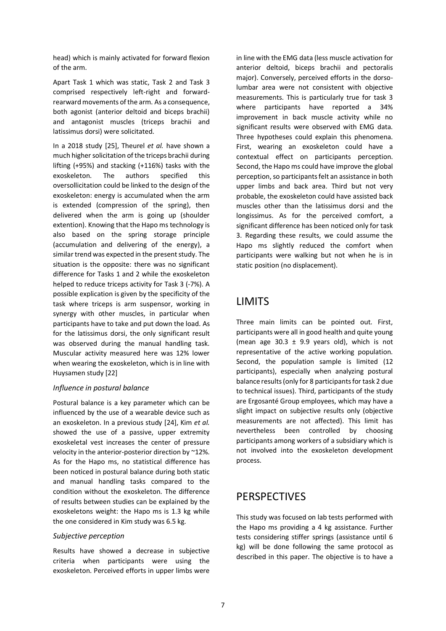head) which is mainly activated for forward flexion of the arm.

Apart Task 1 which was static, Task 2 and Task 3 comprised respectively left-right and forwardrearward movements of the arm. As a consequence, both agonist (anterior deltoid and biceps brachii) and antagonist muscles (triceps brachii and latissimus dorsi) were solicitated.

In a 2018 study [\[25\],](#page-8-7) Theurel *et al.* have shown a much higher solicitation of the triceps brachii during lifting (+95%) and stacking (+116%) tasks with the exoskeleton. The authors specified this oversollicitation could be linked to the design of the exoskeleton: energy is accumulated when the arm is extended (compression of the spring), then delivered when the arm is going up (shoulder extention). Knowing that the Hapo ms technology is also based on the spring storage principle (accumulation and delivering of the energy), a similar trend was expected in the present study. The situation is the opposite: there was no significant difference for Tasks 1 and 2 while the exoskeleton helped to reduce triceps activity for Task 3 (-7%). A possible explication is given by the specificity of the task where triceps is arm suspensor, working in synergy with other muscles, in particular when participants have to take and put down the load. As for the latissimus dorsi, the only significant result was observed during the manual handling task. Muscular activity measured here was 12% lower when wearing the exoskeleton, which is in line with Huysamen stud[y \[22\]](#page-8-4) 

### *Influence in postural balance*

Postural balance is a key parameter which can be influenced by the use of a wearable device such as an exoskeleton. In a previous study [\[24\],](#page-8-6) Kim *et al.*  showed the use of a passive, upper extremity exoskeletal vest increases the center of pressure velocity in the anterior-posterior direction by ~12%. As for the Hapo ms, no statistical difference has been noticed in postural balance during both static and manual handling tasks compared to the condition without the exoskeleton. The difference of results between studies can be explained by the exoskeletons weight: the Hapo ms is 1.3 kg while the one considered in Kim study was 6.5 kg.

### *Subjective perception*

Results have showed a decrease in subjective criteria when participants were using the exoskeleton. Perceived efforts in upper limbs were in line with the EMG data (less muscle activation for anterior deltoid, biceps brachii and pectoralis major). Conversely, perceived efforts in the dorsolumbar area were not consistent with objective measurements. This is particularly true for task 3 where participants have reported a 34% improvement in back muscle activity while no significant results were observed with EMG data. Three hypotheses could explain this phenomena. First, wearing an exoskeleton could have a contextual effect on participants perception. Second, the Hapo ms could have improve the global perception, so participants felt an assistance in both upper limbs and back area. Third but not very probable, the exoskeleton could have assisted back muscles other than the latissimus dorsi and the longissimus. As for the perceived comfort, a significant difference has been noticed only for task 3. Regarding these results, we could assume the Hapo ms slightly reduced the comfort when participants were walking but not when he is in static position (no displacement).

# LIMITS

Three main limits can be pointed out. First, participants were all in good health and quite young (mean age  $30.3 \pm 9.9$  years old), which is not representative of the active working population. Second, the population sample is limited (12 participants), especially when analyzing postural balance results (only for 8 participants for task 2 due to technical issues). Third, participants of the study are Ergosanté Group employees, which may have a slight impact on subjective results only (objective measurements are not affected). This limit has nevertheless been controlled by choosing participants among workers of a subsidiary which is not involved into the exoskeleton development process.

# PERSPECTIVES

This study was focused on lab tests performed with the Hapo ms providing a 4 kg assistance. Further tests considering stiffer springs (assistance until 6 kg) will be done following the same protocol as described in this paper. The objective is to have a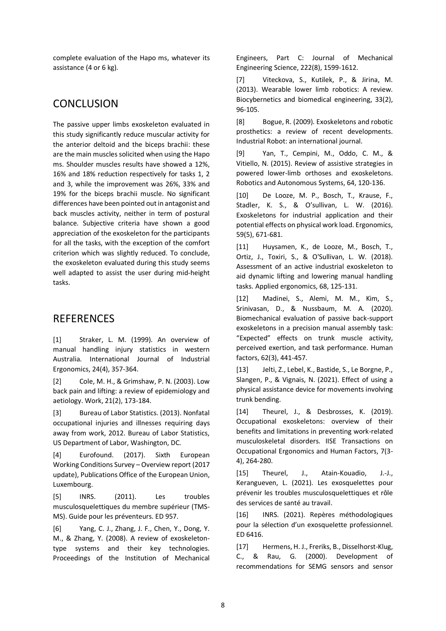complete evaluation of the Hapo ms, whatever its assistance (4 or 6 kg).

# **CONCLUSION**

The passive upper limbs exoskeleton evaluated in this study significantly reduce muscular activity for the anterior deltoid and the biceps brachii: these are the main muscles solicited when using the Hapo ms. Shoulder muscles results have showed a 12%, 16% and 18% reduction respectively for tasks 1, 2 and 3, while the improvement was 26%, 33% and 19% for the biceps brachii muscle. No significant differences have been pointed out in antagonist and back muscles activity, neither in term of postural balance. Subjective criteria have shown a good appreciation of the exoskeleton for the participants for all the tasks, with the exception of the comfort criterion which was slightly reduced. To conclude, the exoskeleton evaluated during this study seems well adapted to assist the user during mid-height tasks.

# **REFERENCES**

<span id="page-7-0"></span>[1] Straker, L. M. (1999). An overview of manual handling injury statistics in western Australia. International Journal of Industrial Ergonomics, 24(4), 357-364.

<span id="page-7-1"></span>[2] Cole, M. H., & Grimshaw, P. N. (2003). Low back pain and lifting: a review of epidemiology and aetiology. Work, 21(2), 173-184.

<span id="page-7-2"></span>[3] Bureau of Labor Statistics. (2013). Nonfatal occupational injuries and illnesses requiring days away from work, 2012. Bureau of Labor Statistics, US Department of Labor, Washington, DC.

<span id="page-7-3"></span>[4] Eurofound. (2017). Sixth European Working Conditions Survey – Overview report (2017 update), Publications Office of the European Union, Luxembourg.

<span id="page-7-4"></span>[5] INRS. (2011). Les troubles musculosquelettiques du membre supérieur (TMS-MS). Guide pour les préventeurs. ED 957.

<span id="page-7-5"></span>[6] Yang, C. J., Zhang, J. F., Chen, Y., Dong, Y. M., & Zhang, Y. (2008). A review of exoskeletontype systems and their key technologies. Proceedings of the Institution of Mechanical Engineers, Part C: Journal of Mechanical Engineering Science, 222(8), 1599-1612.

<span id="page-7-6"></span>[7] Viteckova, S., Kutilek, P., & Jirina, M. (2013). Wearable lower limb robotics: A review. Biocybernetics and biomedical engineering, 33(2), 96-105.

<span id="page-7-7"></span>[8] Bogue, R. (2009). Exoskeletons and robotic prosthetics: a review of recent developments. Industrial Robot: an international journal.

<span id="page-7-8"></span>[9] Yan, T., Cempini, M., Oddo, C. M., & Vitiello, N. (2015). Review of assistive strategies in powered lower-limb orthoses and exoskeletons. Robotics and Autonomous Systems, 64, 120-136.

<span id="page-7-9"></span>[10] De Looze, M. P., Bosch, T., Krause, F., Stadler, K. S., & O'sullivan, L. W. (2016). Exoskeletons for industrial application and their potential effects on physical work load. Ergonomics, 59(5), 671-681.

<span id="page-7-10"></span>[11] Huysamen, K., de Looze, M., Bosch, T., Ortiz, J., Toxiri, S., & O'Sullivan, L. W. (2018). Assessment of an active industrial exoskeleton to aid dynamic lifting and lowering manual handling tasks. Applied ergonomics, 68, 125-131.

<span id="page-7-11"></span>[12] Madinei, S., Alemi, M. M., Kim, S., Srinivasan, D., & Nussbaum, M. A. (2020). Biomechanical evaluation of passive back-support exoskeletons in a precision manual assembly task: "Expected" effects on trunk muscle activity, perceived exertion, and task performance. Human factors, 62(3), 441-457.

<span id="page-7-12"></span>[13] Jelti, Z., Lebel, K., Bastide, S., Le Borgne, P., Slangen, P., & Vignais, N. (2021). Effect of using a physical assistance device for movements involving trunk bending.

<span id="page-7-13"></span>[14] Theurel, J., & Desbrosses, K. (2019). Occupational exoskeletons: overview of their benefits and limitations in preventing work-related musculoskeletal disorders. IISE Transactions on Occupational Ergonomics and Human Factors, 7(3- 4), 264-280.

<span id="page-7-14"></span>[15] Theurel, J., Atain-Kouadio, J.-J., Kerangueven, L. (2021). Les exosquelettes pour prévenir les troubles musculosquelettiques et rôle des services de santé au travail.

<span id="page-7-15"></span>[16] INRS. (2021). Repères méthodologiques pour la sélection d'un exosquelette professionnel. ED 6416.

<span id="page-7-16"></span>[17] Hermens, H. J., Freriks, B., Disselhorst-Klug, C., & Rau, G. (2000). Development of recommendations for SEMG sensors and sensor